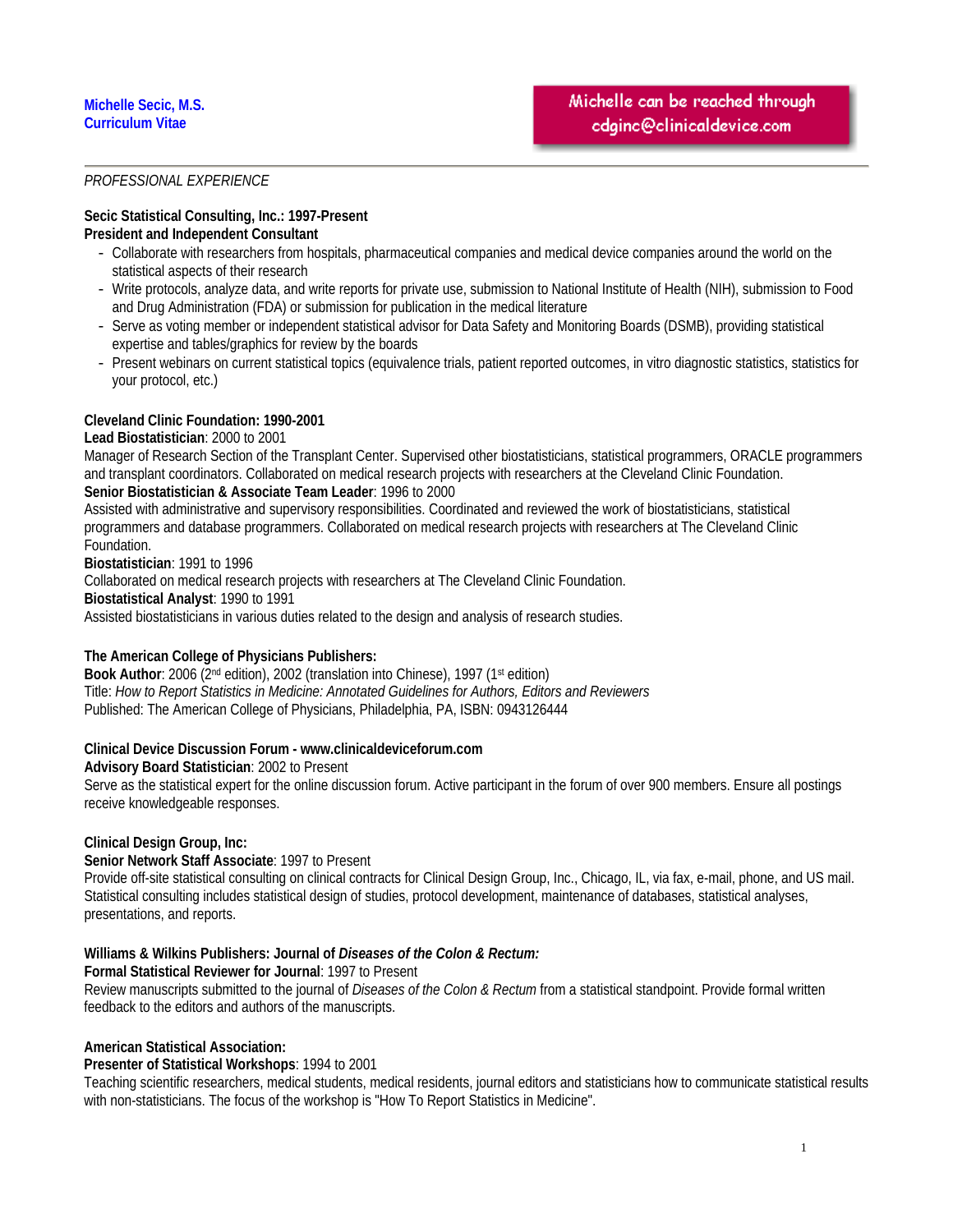### **Michelle Secic, M.S. Curriculum Vitae**

# *PROFESSIONAL EXPERIENCE*

#### **Secic Statistical Consulting, Inc.: 1997-Present President and Independent Consultant**

- Collaborate with researchers from hospitals, pharmaceutical companies and medical device companies around the world on the statistical aspects of their research
- Write protocols, analyze data, and write reports for private use, submission to National Institute of Health (NIH), submission to Food and Drug Administration (FDA) or submission for publication in the medical literature
- Serve as voting member or independent statistical advisor for Data Safety and Monitoring Boards (DSMB), providing statistical expertise and tables/graphics for review by the boards
- Present webinars on current statistical topics (equivalence trials, patient reported outcomes, in vitro diagnostic statistics, statistics for your protocol, etc.)

# **Cleveland Clinic Foundation: 1990-2001**

### **Lead Biostatistician**: 2000 to 2001

Manager of Research Section of the Transplant Center. Supervised other biostatisticians, statistical programmers, ORACLE programmers and transplant coordinators. Collaborated on medical research projects with researchers at the Cleveland Clinic Foundation. **Senior Biostatistician & Associate Team Leader**: 1996 to 2000

Assisted with administrative and supervisory responsibilities. Coordinated and reviewed the work of biostatisticians, statistical programmers and database programmers. Collaborated on medical research projects with researchers at The Cleveland Clinic Foundation.

**Biostatistician**: 1991 to 1996

Collaborated on medical research projects with researchers at The Cleveland Clinic Foundation. **Biostatistical Analyst**: 1990 to 1991 Assisted biostatisticians in various duties related to the design and analysis of research studies.

# **The American College of Physicians Publishers:**

**Book Author**: 2006 (2<sup>nd</sup> edition), 2002 (translation into Chinese), 1997 (1<sup>st</sup> edition) Title: *How to Report Statistics in Medicine: Annotated Guidelines for Authors, Editors and Reviewers* Published: The American College of Physicians, Philadelphia, PA, ISBN: 0943126444

# **Clinical Device Discussion Forum - www.clinicaldeviceforum.com**

**Advisory Board Statistician**: 2002 to Present

Serve as the statistical expert for the online discussion forum. Active participant in the forum of over 900 members. Ensure all postings receive knowledgeable responses.

# **Clinical Design Group, Inc:**

**Senior Network Staff Associate**: 1997 to Present

Provide off-site statistical consulting on clinical contracts for Clinical Design Group, Inc., Chicago, IL, via fax, e-mail, phone, and US mail. Statistical consulting includes statistical design of studies, protocol development, maintenance of databases, statistical analyses, presentations, and reports.

# **Williams & Wilkins Publishers: Journal of** *Diseases of the Colon & Rectum:*

#### **Formal Statistical Reviewer for Journal**: 1997 to Present

Review manuscripts submitted to the journal of *Diseases of the Colon & Rectum* from a statistical standpoint. Provide formal written feedback to the editors and authors of the manuscripts.

#### **American Statistical Association:**

#### **Presenter of Statistical Workshops**: 1994 to 2001

Teaching scientific researchers, medical students, medical residents, journal editors and statisticians how to communicate statistical results with non-statisticians. The focus of the workshop is "How To Report Statistics in Medicine".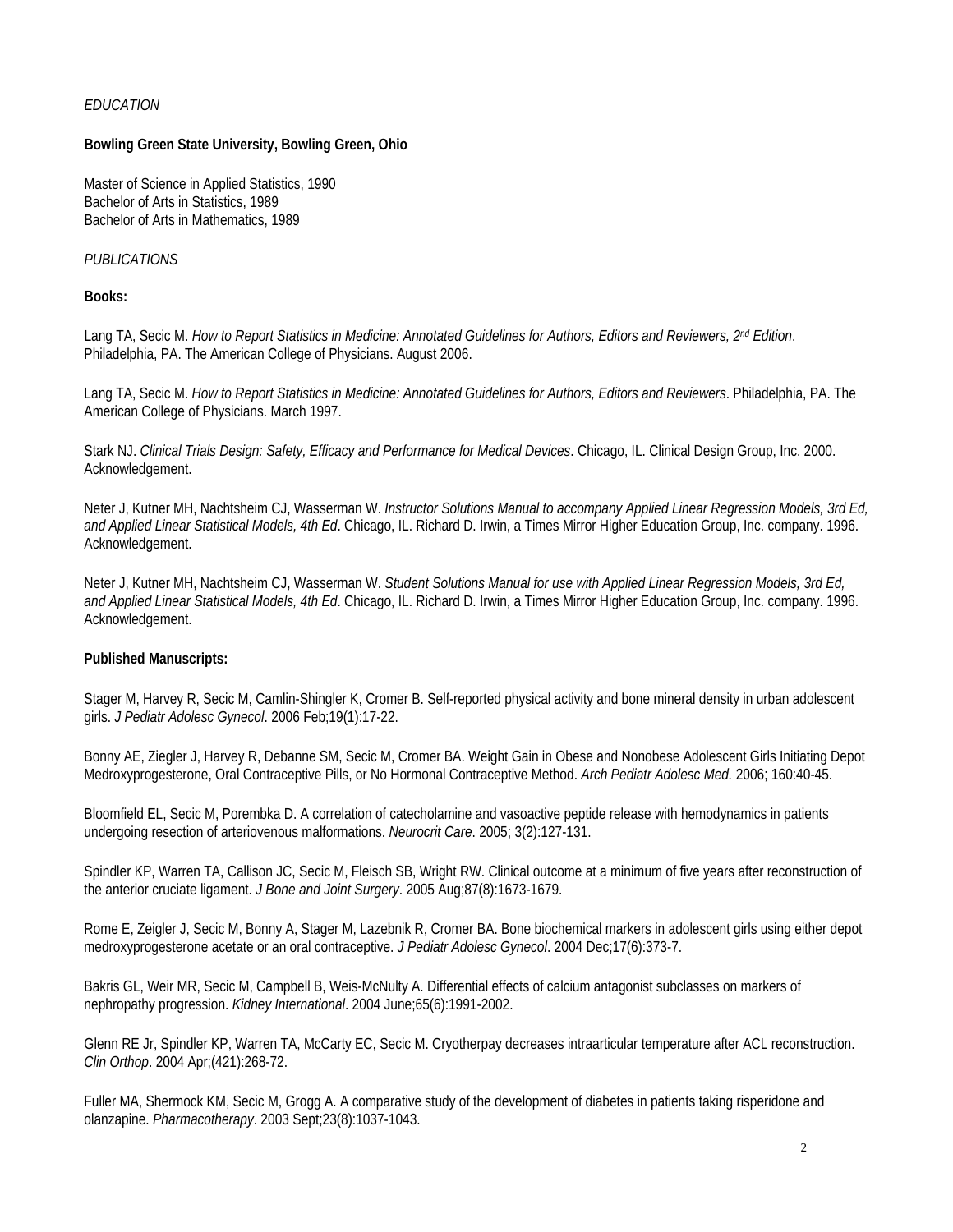### *EDUCATION*

### **Bowling Green State University, Bowling Green, Ohio**

Master of Science in Applied Statistics, 1990 Bachelor of Arts in Statistics, 1989 Bachelor of Arts in Mathematics, 1989

### *PUBLICATIONS*

**Books:** 

Lang TA, Secic M. How to Report Statistics in Medicine: Annotated Guidelines for Authors, Editors and Reviewers, 2<sup>nd</sup> Edition. Philadelphia, PA. The American College of Physicians. August 2006.

Lang TA, Secic M. *How to Report Statistics in Medicine: Annotated Guidelines for Authors, Editors and Reviewers*. Philadelphia, PA. The American College of Physicians. March 1997.

Stark NJ. *Clinical Trials Design: Safety, Efficacy and Performance for Medical Devices*. Chicago, IL. Clinical Design Group, Inc. 2000. Acknowledgement.

Neter J, Kutner MH, Nachtsheim CJ, Wasserman W. *Instructor Solutions Manual to accompany Applied Linear Regression Models, 3rd Ed, and Applied Linear Statistical Models, 4th Ed*. Chicago, IL. Richard D. Irwin, a Times Mirror Higher Education Group, Inc. company. 1996. Acknowledgement.

Neter J, Kutner MH, Nachtsheim CJ, Wasserman W. *Student Solutions Manual for use with Applied Linear Regression Models, 3rd Ed, and Applied Linear Statistical Models, 4th Ed*. Chicago, IL. Richard D. Irwin, a Times Mirror Higher Education Group, Inc. company. 1996. Acknowledgement.

#### **Published Manuscripts:**

Stager M, Harvey R, Secic M, Camlin-Shingler K, Cromer B. Self-reported physical activity and bone mineral density in urban adolescent girls. *J Pediatr Adolesc Gynecol*. 2006 Feb;19(1):17-22.

Bonny AE, Ziegler J, Harvey R, Debanne SM, Secic M, Cromer BA. Weight Gain in Obese and Nonobese Adolescent Girls Initiating Depot Medroxyprogesterone, Oral Contraceptive Pills, or No Hormonal Contraceptive Method. *Arch Pediatr Adolesc Med.* 2006; 160:40-45.

Bloomfield EL, Secic M, Porembka D. A correlation of catecholamine and vasoactive peptide release with hemodynamics in patients undergoing resection of arteriovenous malformations. *Neurocrit Care*. 2005; 3(2):127-131.

Spindler KP, Warren TA, Callison JC, Secic M, Fleisch SB, Wright RW. Clinical outcome at a minimum of five years after reconstruction of the anterior cruciate ligament. *J Bone and Joint Surgery*. 2005 Aug;87(8):1673-1679.

Rome E, Zeigler J, Secic M, Bonny A, Stager M, Lazebnik R, Cromer BA. Bone biochemical markers in adolescent girls using either depot medroxyprogesterone acetate or an oral contraceptive. *J Pediatr Adolesc Gynecol*. 2004 Dec;17(6):373-7.

Bakris GL, Weir MR, Secic M, Campbell B, Weis-McNulty A. Differential effects of calcium antagonist subclasses on markers of nephropathy progression. *Kidney International*. 2004 June;65(6):1991-2002.

Glenn RE Jr, Spindler KP, Warren TA, McCarty EC, Secic M. Cryotherpay decreases intraarticular temperature after ACL reconstruction. *Clin Orthop*. 2004 Apr;(421):268-72.

Fuller MA, Shermock KM, Secic M, Grogg A. A comparative study of the development of diabetes in patients taking risperidone and olanzapine. *Pharmacotherapy*. 2003 Sept;23(8):1037-1043.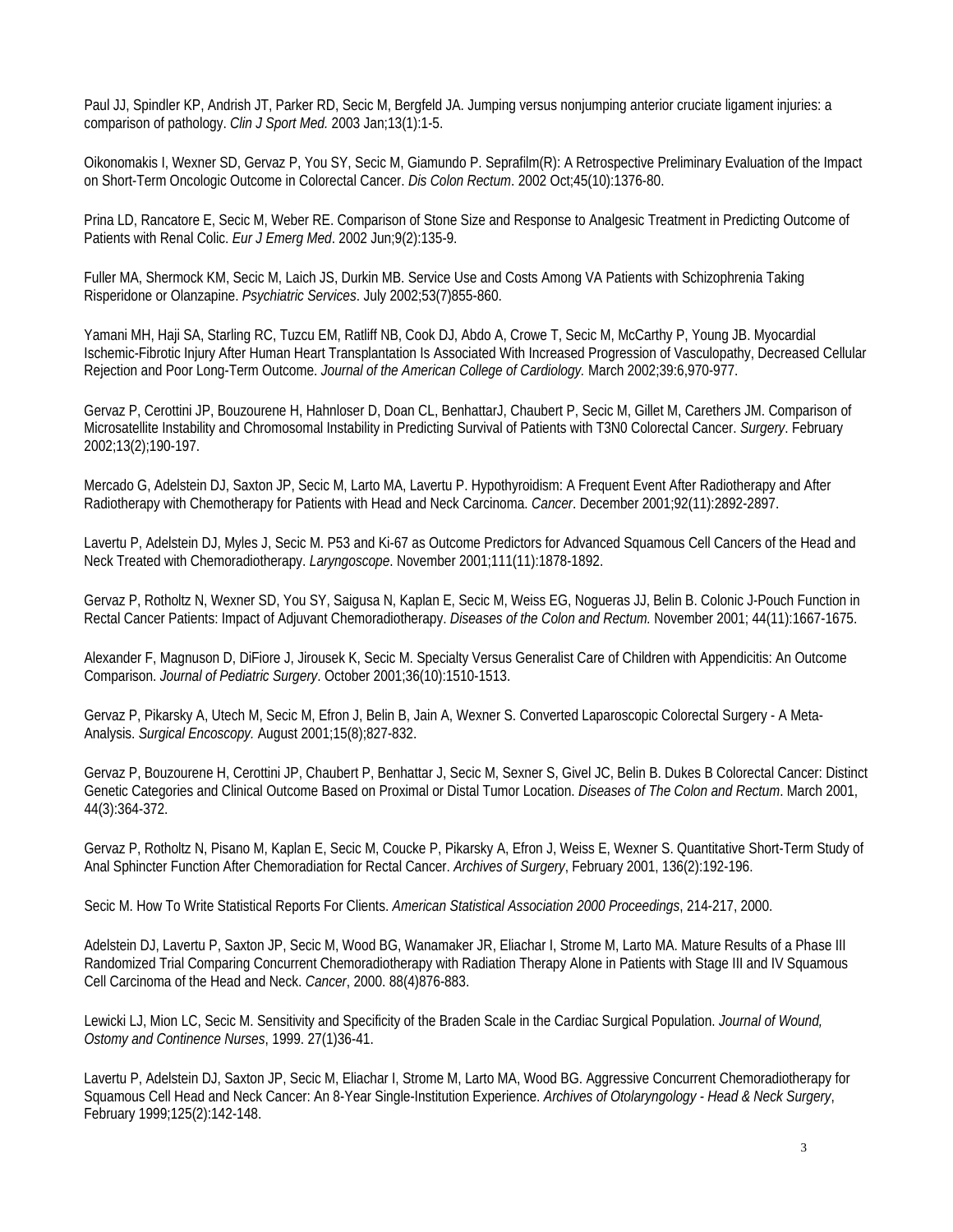Paul JJ, Spindler KP, Andrish JT, Parker RD, Secic M, Bergfeld JA. Jumping versus nonjumping anterior cruciate ligament injuries: a comparison of pathology. *Clin J Sport Med.* 2003 Jan;13(1):1-5.

Oikonomakis I, Wexner SD, Gervaz P, You SY, Secic M, Giamundo P. Seprafilm(R): A Retrospective Preliminary Evaluation of the Impact on Short-Term Oncologic Outcome in Colorectal Cancer. *Dis Colon Rectum*. 2002 Oct;45(10):1376-80.

Prina LD, Rancatore E, Secic M, Weber RE. Comparison of Stone Size and Response to Analgesic Treatment in Predicting Outcome of Patients with Renal Colic. *Eur J Emerg Med*. 2002 Jun;9(2):135-9.

Fuller MA, Shermock KM, Secic M, Laich JS, Durkin MB. Service Use and Costs Among VA Patients with Schizophrenia Taking Risperidone or Olanzapine. *Psychiatric Services*. July 2002;53(7)855-860.

Yamani MH, Haji SA, Starling RC, Tuzcu EM, Ratliff NB, Cook DJ, Abdo A, Crowe T, Secic M, McCarthy P, Young JB. Myocardial Ischemic-Fibrotic Injury After Human Heart Transplantation Is Associated With Increased Progression of Vasculopathy, Decreased Cellular Rejection and Poor Long-Term Outcome. *Journal of the American College of Cardiology.* March 2002;39:6,970-977.

Gervaz P, Cerottini JP, Bouzourene H, Hahnloser D, Doan CL, BenhattarJ, Chaubert P, Secic M, Gillet M, Carethers JM. Comparison of Microsatellite Instability and Chromosomal Instability in Predicting Survival of Patients with T3N0 Colorectal Cancer. *Surgery*. February 2002;13(2);190-197.

Mercado G, Adelstein DJ, Saxton JP, Secic M, Larto MA, Lavertu P. Hypothyroidism: A Frequent Event After Radiotherapy and After Radiotherapy with Chemotherapy for Patients with Head and Neck Carcinoma. *Cancer*. December 2001;92(11):2892-2897.

Lavertu P, Adelstein DJ, Myles J, Secic M. P53 and Ki-67 as Outcome Predictors for Advanced Squamous Cell Cancers of the Head and Neck Treated with Chemoradiotherapy. *Laryngoscope*. November 2001;111(11):1878-1892.

Gervaz P, Rotholtz N, Wexner SD, You SY, Saigusa N, Kaplan E, Secic M, Weiss EG, Nogueras JJ, Belin B. Colonic J-Pouch Function in Rectal Cancer Patients: Impact of Adjuvant Chemoradiotherapy. *Diseases of the Colon and Rectum.* November 2001; 44(11):1667-1675.

Alexander F, Magnuson D, DiFiore J, Jirousek K, Secic M. Specialty Versus Generalist Care of Children with Appendicitis: An Outcome Comparison. *Journal of Pediatric Surgery*. October 2001;36(10):1510-1513.

Gervaz P, Pikarsky A, Utech M, Secic M, Efron J, Belin B, Jain A, Wexner S. Converted Laparoscopic Colorectal Surgery - A Meta-Analysis. *Surgical Encoscopy.* August 2001;15(8);827-832.

Gervaz P, Bouzourene H, Cerottini JP, Chaubert P, Benhattar J, Secic M, Sexner S, Givel JC, Belin B. Dukes B Colorectal Cancer: Distinct Genetic Categories and Clinical Outcome Based on Proximal or Distal Tumor Location. *Diseases of The Colon and Rectum*. March 2001, 44(3):364-372.

Gervaz P, Rotholtz N, Pisano M, Kaplan E, Secic M, Coucke P, Pikarsky A, Efron J, Weiss E, Wexner S. Quantitative Short-Term Study of Anal Sphincter Function After Chemoradiation for Rectal Cancer. *Archives of Surgery*, February 2001, 136(2):192-196.

Secic M. How To Write Statistical Reports For Clients. *American Statistical Association 2000 Proceedings*, 214-217, 2000.

Adelstein DJ, Lavertu P, Saxton JP, Secic M, Wood BG, Wanamaker JR, Eliachar I, Strome M, Larto MA. Mature Results of a Phase III Randomized Trial Comparing Concurrent Chemoradiotherapy with Radiation Therapy Alone in Patients with Stage III and IV Squamous Cell Carcinoma of the Head and Neck. *Cancer*, 2000. 88(4)876-883.

Lewicki LJ, Mion LC, Secic M. Sensitivity and Specificity of the Braden Scale in the Cardiac Surgical Population. *Journal of Wound, Ostomy and Continence Nurses*, 1999. 27(1)36-41.

Lavertu P, Adelstein DJ, Saxton JP, Secic M, Eliachar I, Strome M, Larto MA, Wood BG. Aggressive Concurrent Chemoradiotherapy for Squamous Cell Head and Neck Cancer: An 8-Year Single-Institution Experience. *Archives of Otolaryngology - Head & Neck Surgery*, February 1999;125(2):142-148.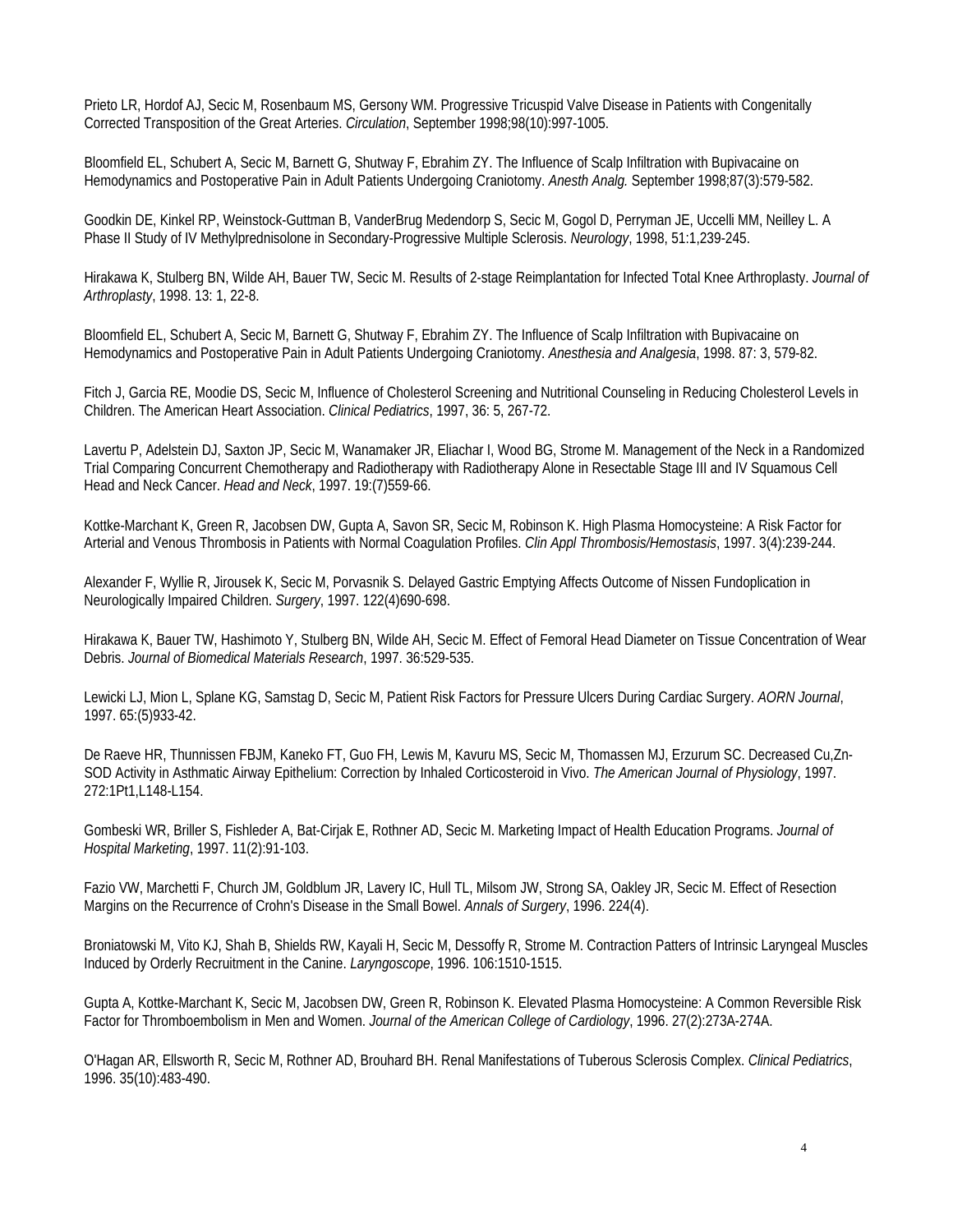Prieto LR, Hordof AJ, Secic M, Rosenbaum MS, Gersony WM. Progressive Tricuspid Valve Disease in Patients with Congenitally Corrected Transposition of the Great Arteries. *Circulation*, September 1998;98(10):997-1005.

Bloomfield EL, Schubert A, Secic M, Barnett G, Shutway F, Ebrahim ZY. The Influence of Scalp Infiltration with Bupivacaine on Hemodynamics and Postoperative Pain in Adult Patients Undergoing Craniotomy. *Anesth Analg.* September 1998;87(3):579-582.

Goodkin DE, Kinkel RP, Weinstock-Guttman B, VanderBrug Medendorp S, Secic M, Gogol D, Perryman JE, Uccelli MM, Neilley L. A Phase II Study of IV Methylprednisolone in Secondary-Progressive Multiple Sclerosis. *Neurology*, 1998, 51:1,239-245.

Hirakawa K, Stulberg BN, Wilde AH, Bauer TW, Secic M. Results of 2-stage Reimplantation for Infected Total Knee Arthroplasty. *Journal of Arthroplasty*, 1998. 13: 1, 22-8.

Bloomfield EL, Schubert A, Secic M, Barnett G, Shutway F, Ebrahim ZY. The Influence of Scalp Infiltration with Bupivacaine on Hemodynamics and Postoperative Pain in Adult Patients Undergoing Craniotomy. *Anesthesia and Analgesia*, 1998. 87: 3, 579-82.

Fitch J, Garcia RE, Moodie DS, Secic M, Influence of Cholesterol Screening and Nutritional Counseling in Reducing Cholesterol Levels in Children. The American Heart Association. *Clinical Pediatrics*, 1997, 36: 5, 267-72.

Lavertu P, Adelstein DJ, Saxton JP, Secic M, Wanamaker JR, Eliachar I, Wood BG, Strome M. Management of the Neck in a Randomized Trial Comparing Concurrent Chemotherapy and Radiotherapy with Radiotherapy Alone in Resectable Stage III and IV Squamous Cell Head and Neck Cancer. *Head and Neck*, 1997. 19:(7)559-66.

Kottke-Marchant K, Green R, Jacobsen DW, Gupta A, Savon SR, Secic M, Robinson K. High Plasma Homocysteine: A Risk Factor for Arterial and Venous Thrombosis in Patients with Normal Coagulation Profiles. *Clin Appl Thrombosis/Hemostasis*, 1997. 3(4):239-244.

Alexander F, Wyllie R, Jirousek K, Secic M, Porvasnik S. Delayed Gastric Emptying Affects Outcome of Nissen Fundoplication in Neurologically Impaired Children. *Surgery*, 1997. 122(4)690-698.

Hirakawa K, Bauer TW, Hashimoto Y, Stulberg BN, Wilde AH, Secic M. Effect of Femoral Head Diameter on Tissue Concentration of Wear Debris. *Journal of Biomedical Materials Research*, 1997. 36:529-535.

Lewicki LJ, Mion L, Splane KG, Samstag D, Secic M, Patient Risk Factors for Pressure Ulcers During Cardiac Surgery. *AORN Journal*, 1997. 65:(5)933-42.

De Raeve HR, Thunnissen FBJM, Kaneko FT, Guo FH, Lewis M, Kavuru MS, Secic M, Thomassen MJ, Erzurum SC. Decreased Cu,Zn-SOD Activity in Asthmatic Airway Epithelium: Correction by Inhaled Corticosteroid in Vivo. *The American Journal of Physiology*, 1997. 272:1Pt1,L148-L154.

Gombeski WR, Briller S, Fishleder A, Bat-Cirjak E, Rothner AD, Secic M. Marketing Impact of Health Education Programs. *Journal of Hospital Marketing*, 1997. 11(2):91-103.

Fazio VW, Marchetti F, Church JM, Goldblum JR, Lavery IC, Hull TL, Milsom JW, Strong SA, Oakley JR, Secic M. Effect of Resection Margins on the Recurrence of Crohn's Disease in the Small Bowel. *Annals of Surgery*, 1996. 224(4).

Broniatowski M, Vito KJ, Shah B, Shields RW, Kayali H, Secic M, Dessoffy R, Strome M. Contraction Patters of Intrinsic Laryngeal Muscles Induced by Orderly Recruitment in the Canine. *Laryngoscope*, 1996. 106:1510-1515.

Gupta A, Kottke-Marchant K, Secic M, Jacobsen DW, Green R, Robinson K. Elevated Plasma Homocysteine: A Common Reversible Risk Factor for Thromboembolism in Men and Women. *Journal of the American College of Cardiology*, 1996. 27(2):273A-274A.

O'Hagan AR, Ellsworth R, Secic M, Rothner AD, Brouhard BH. Renal Manifestations of Tuberous Sclerosis Complex. *Clinical Pediatrics*, 1996. 35(10):483-490.